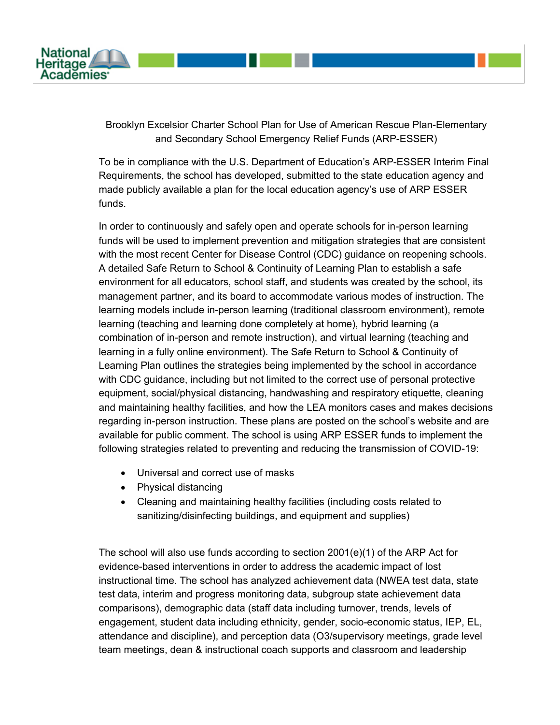

Brooklyn Excelsior Charter School Plan for Use of American Rescue Plan-Elementary and Secondary School Emergency Relief Funds (ARP-ESSER)

To be in compliance with the U.S. Department of Education's ARP-ESSER Interim Final Requirements, the school has developed, submitted to the state education agency and made publicly available a plan for the local education agency's use of ARP ESSER funds.

In order to continuously and safely open and operate schools for in-person learning funds will be used to implement prevention and mitigation strategies that are consistent with the most recent Center for Disease Control (CDC) guidance on reopening schools. A detailed Safe Return to School & Continuity of Learning Plan to establish a safe environment for all educators, school staff, and students was created by the school, its management partner, and its board to accommodate various modes of instruction. The learning models include in-person learning (traditional classroom environment), remote learning (teaching and learning done completely at home), hybrid learning (a combination of in-person and remote instruction), and virtual learning (teaching and learning in a fully online environment). The Safe Return to School & Continuity of Learning Plan outlines the strategies being implemented by the school in accordance with CDC guidance, including but not limited to the correct use of personal protective equipment, social/physical distancing, handwashing and respiratory etiquette, cleaning and maintaining healthy facilities, and how the LEA monitors cases and makes decisions regarding in-person instruction. These plans are posted on the school's website and are available for public comment. The school is using ARP ESSER funds to implement the following strategies related to preventing and reducing the transmission of COVID-19:

- Universal and correct use of masks
- Physical distancing
- Cleaning and maintaining healthy facilities (including costs related to sanitizing/disinfecting buildings, and equipment and supplies)

The school will also use funds according to section 2001(e)(1) of the ARP Act for evidence-based interventions in order to address the academic impact of lost instructional time. The school has analyzed achievement data (NWEA test data, state test data, interim and progress monitoring data, subgroup state achievement data comparisons), demographic data (staff data including turnover, trends, levels of engagement, student data including ethnicity, gender, socio-economic status, IEP, EL, attendance and discipline), and perception data (O3/supervisory meetings, grade level team meetings, dean & instructional coach supports and classroom and leadership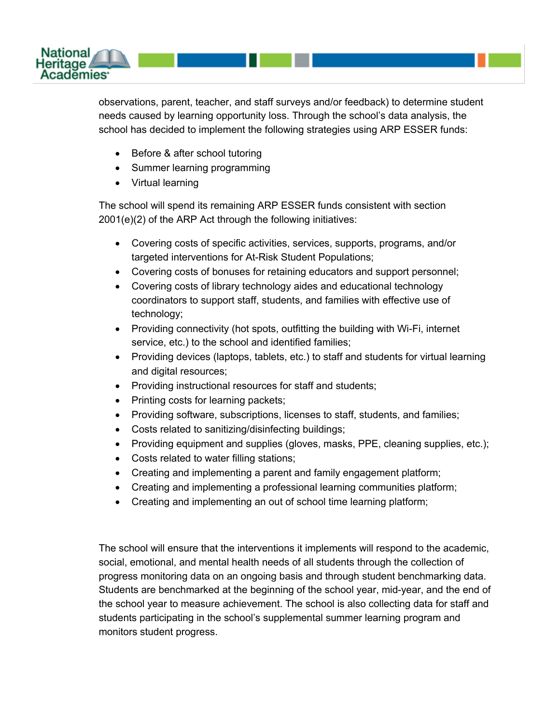

observations, parent, teacher, and staff surveys and/or feedback) to determine student needs caused by learning opportunity loss. Through the school's data analysis, the school has decided to implement the following strategies using ARP ESSER funds:

- Before & after school tutoring
- Summer learning programming
- Virtual learning

The school will spend its remaining ARP ESSER funds consistent with section 2001(e)(2) of the ARP Act through the following initiatives:

- Covering costs of specific activities, services, supports, programs, and/or targeted interventions for At-Risk Student Populations;
- Covering costs of bonuses for retaining educators and support personnel;
- Covering costs of library technology aides and educational technology coordinators to support staff, students, and families with effective use of technology;
- Providing connectivity (hot spots, outfitting the building with Wi-Fi, internet service, etc.) to the school and identified families;
- Providing devices (laptops, tablets, etc.) to staff and students for virtual learning and digital resources;
- Providing instructional resources for staff and students;
- Printing costs for learning packets;
- Providing software, subscriptions, licenses to staff, students, and families;
- Costs related to sanitizing/disinfecting buildings;
- Providing equipment and supplies (gloves, masks, PPE, cleaning supplies, etc.);
- Costs related to water filling stations;
- Creating and implementing a parent and family engagement platform;
- Creating and implementing a professional learning communities platform;
- Creating and implementing an out of school time learning platform;

The school will ensure that the interventions it implements will respond to the academic, social, emotional, and mental health needs of all students through the collection of progress monitoring data on an ongoing basis and through student benchmarking data. Students are benchmarked at the beginning of the school year, mid-year, and the end of the school year to measure achievement. The school is also collecting data for staff and students participating in the school's supplemental summer learning program and monitors student progress.